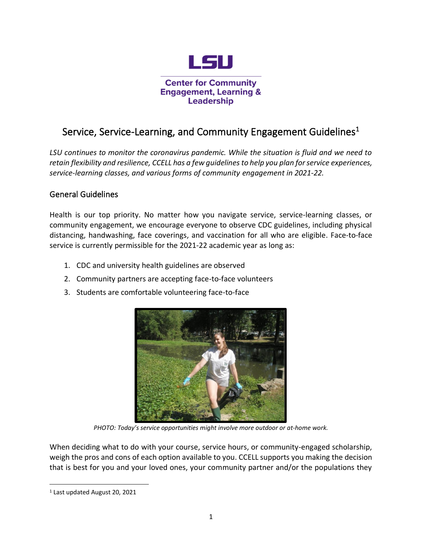

# Service, Service-Learning, and Community Engagement Guidelines<sup>1</sup>

*LSU continues to monitor the coronavirus pandemic. While the situation is fluid and we need to retain flexibility and resilience, CCELL has a few guidelines to help you plan for service experiences, service-learning classes, and various forms of community engagement in 2021-22.*

### General Guidelines

Health is our top priority. No matter how you navigate service, service-learning classes, or community engagement, we encourage everyone to observe CDC guidelines, including physical distancing, handwashing, face coverings, and vaccination for all who are eligible. Face-to-face service is currently permissible for the 2021-22 academic year as long as:

- 1. CDC and university health guidelines are observed
- 2. Community partners are accepting face-to-face volunteers
- 3. Students are comfortable volunteering face-to-face



*PHOTO: Today's service opportunities might involve more outdoor or at-home work.*

When deciding what to do with your course, service hours, or community-engaged scholarship, weigh the pros and cons of each option available to you. CCELL supports you making the decision that is best for you and your loved ones, your community partner and/or the populations they

<sup>1</sup> Last updated August 20, 2021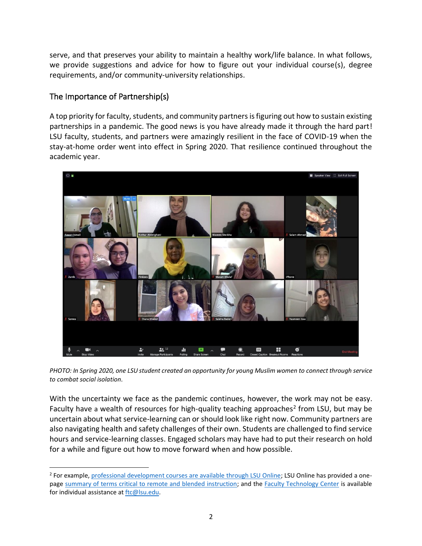serve, and that preserves your ability to maintain a healthy work/life balance. In what follows, we provide suggestions and advice for how to figure out your individual course(s), degree requirements, and/or community-university relationships.

### The Importance of Partnership(s)

A top priority for faculty, students, and community partners is figuring out how to sustain existing partnerships in a pandemic. The good news is you have already made it through the hard part! LSU faculty, students, and partners were amazingly resilient in the face of COVID-19 when the stay-at-home order went into effect in Spring 2020. That resilience continued throughout the academic year.



*PHOTO: In Spring 2020, one LSU student created an opportunity for young Muslim women to connect through service to combat social isolation.*

With the uncertainty we face as the pandemic continues, however, the work may not be easy. Faculty have a wealth of resources for high-quality teaching approaches<sup>2</sup> from LSU, but may be uncertain about what service-learning can or should look like right now. Community partners are also navigating health and safety challenges of their own. Students are challenged to find service hours and service-learning classes. Engaged scholars may have had to put their research on hold for a while and figure out how to move forward when and how possible.

<sup>&</sup>lt;sup>2</sup> For example, [professional development courses are available through LSU Online;](https://online.lsu.edu/faculty-training-and-events/) LSU Online has provided a onepage [summary of terms critical to remote and blended instruction;](https://nam04.safelinks.protection.outlook.com/?url=https%3A%2F%2Flsuonline-static.s3.amazonaws.com%2Fstatic%2Fdocs%2FRemote%2520vs%2520Online%2520Teaching%2520and%2520Learning.pdf&data=02%7C01%7Csbecker%40LSU.EDU%7C854c871bb71e40b3eb9708d80f0b3049%7C2d4dad3f50ae47d983a09ae2b1f466f8%7C0%7C1%7C637275888089470074&sdata=uHGKnED1N9ksEtUU9%2Fse8p5Q5b0DsScdNU1fEpwMhnw%3D&reserved=0) and the [Faculty Technology Center](https://www.lsu.edu/it_services/serv_op/ftc/) is available for individual assistance at [ftc@lsu.edu.](mailto:ftc@lsu.edu)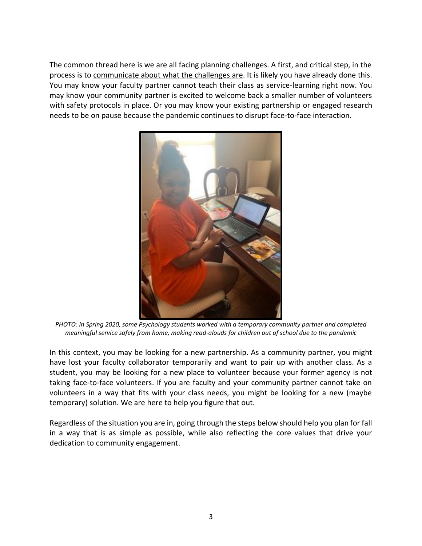The common thread here is we are all facing planning challenges. A first, and critical step, in the process is to communicate about what the challenges are. It is likely you have already done this. You may know your faculty partner cannot teach their class as service-learning right now. You may know your community partner is excited to welcome back a smaller number of volunteers with safety protocols in place. Or you may know your existing partnership or engaged research needs to be on pause because the pandemic continues to disrupt face-to-face interaction.



*PHOTO: In Spring 2020, some Psychology students worked with a temporary community partner and completed meaningful service safely from home, making read-alouds for children out of school due to the pandemic*

In this context, you may be looking for a new partnership. As a community partner, you might have lost your faculty collaborator temporarily and want to pair up with another class. As a student, you may be looking for a new place to volunteer because your former agency is not taking face-to-face volunteers. If you are faculty and your community partner cannot take on volunteers in a way that fits with your class needs, you might be looking for a new (maybe temporary) solution. We are here to help you figure that out.

Regardless of the situation you are in, going through the steps below should help you plan for fall in a way that is as simple as possible, while also reflecting the core values that drive your dedication to community engagement.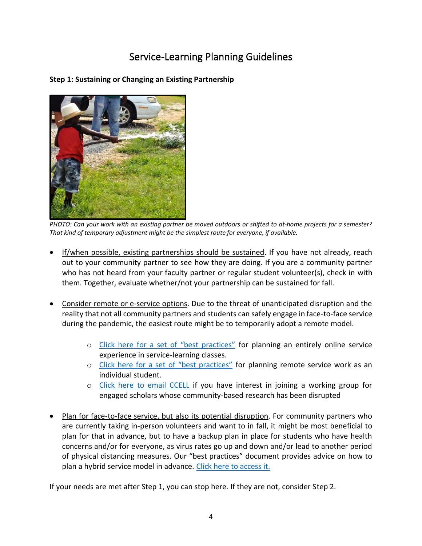# Service-Learning Planning Guidelines

**Step 1: Sustaining or Changing an Existing Partnership**



*PHOTO: Can your work with an existing partner be moved outdoors or shifted to at-home projects for a semester? That kind of temporary adjustment might be the simplest route for everyone, if available.*

- If/when possible, existing partnerships should be sustained. If you have not already, reach out to your community partner to see how they are doing. If you are a community partner who has not heard from your faculty partner or regular student volunteer(s), check in with them. Together, evaluate whether/not your partnership can be sustained for fall.
- Consider remote or e-service options. Due to the threat of unanticipated disruption and the reality that not all community partners and students can safely engage in face-to-face service during the pandemic, the easiest route might be to temporarily adopt a remote model.
	- o [Click here for a set of "best practices"](https://www.lsu.edu/academicaffairs/ccell/eservice-learning_report.pdf) for planning an entirely online service experience in service-learning classes.
	- o [Click here for a set of "best practices"](https://www.lsu.edu/academicaffairs/ccell/files/es-l_student_advice.pdf) for planning remote service work as an individual student.
	- o [Click here to email](mailto:ccell@lsu.edu?subject=research%20group%20for%20community-engaged%20scholars%20whose%20work%20has%20been%20disrupted) CCELL if you have interest in joining a working group for engaged scholars whose community-based research has been disrupted
- Plan for face-to-face service, but also its potential disruption. For community partners who are currently taking in-person volunteers and want to in fall, it might be most beneficial to plan for that in advance, but to have a backup plan in place for students who have health concerns and/or for everyone, as virus rates go up and down and/or lead to another period of physical distancing measures. Our "best practices" document provides advice on how to plan a hybrid service model in advance. [Click here to access it.](https://www.lsu.edu/academicaffairs/ccell/eservice-learning_report.pdf)

If your needs are met after Step 1, you can stop here. If they are not, consider Step 2.